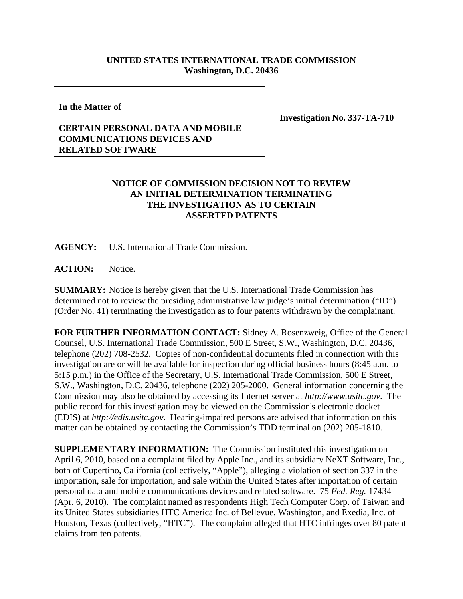## **UNITED STATES INTERNATIONAL TRADE COMMISSION Washington, D.C. 20436**

**In the Matter of**

## **CERTAIN PERSONAL DATA AND MOBILE COMMUNICATIONS DEVICES AND RELATED SOFTWARE**

**Investigation No. 337-TA-710**

## **NOTICE OF COMMISSION DECISION NOT TO REVIEW AN INITIAL DETERMINATION TERMINATING THE INVESTIGATION AS TO CERTAIN ASSERTED PATENTS**

**AGENCY:** U.S. International Trade Commission.

**ACTION:** Notice.

**SUMMARY:** Notice is hereby given that the U.S. International Trade Commission has determined not to review the presiding administrative law judge's initial determination ("ID") (Order No. 41) terminating the investigation as to four patents withdrawn by the complainant.

**FOR FURTHER INFORMATION CONTACT:** Sidney A. Rosenzweig, Office of the General Counsel, U.S. International Trade Commission, 500 E Street, S.W., Washington, D.C. 20436, telephone (202) 708-2532. Copies of non-confidential documents filed in connection with this investigation are or will be available for inspection during official business hours (8:45 a.m. to 5:15 p.m.) in the Office of the Secretary, U.S. International Trade Commission, 500 E Street, S.W., Washington, D.C. 20436, telephone (202) 205-2000. General information concerning the Commission may also be obtained by accessing its Internet server at *http://www.usitc.gov*. The public record for this investigation may be viewed on the Commission's electronic docket (EDIS) at *http://edis.usitc.gov*. Hearing-impaired persons are advised that information on this matter can be obtained by contacting the Commission's TDD terminal on (202) 205-1810.

**SUPPLEMENTARY INFORMATION:** The Commission instituted this investigation on April 6, 2010, based on a complaint filed by Apple Inc., and its subsidiary NeXT Software, Inc., both of Cupertino, California (collectively, "Apple"), alleging a violation of section 337 in the importation, sale for importation, and sale within the United States after importation of certain personal data and mobile communications devices and related software. 75 *Fed. Reg.* 17434 (Apr. 6, 2010). The complaint named as respondents High Tech Computer Corp. of Taiwan and its United States subsidiaries HTC America Inc. of Bellevue, Washington, and Exedia, Inc. of Houston, Texas (collectively, "HTC"). The complaint alleged that HTC infringes over 80 patent claims from ten patents.